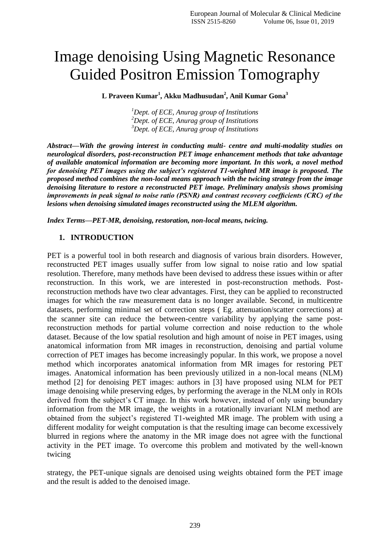# Image denoising Using Magnetic Resonance Guided Positron Emission Tomography

**L Praveen Kumar<sup>1</sup> , Akku Madhusudan<sup>2</sup> , Anil Kumar Gona<sup>3</sup>**

*<sup>1</sup>Dept. of ECE, Anurag group of Institutions <sup>2</sup>Dept. of ECE, Anurag group of Institutions <sup>3</sup>Dept. of ECE, Anurag group of Institutions*

*Abstract—With the growing interest in conducting multi- centre and multi-modality studies on neurological disorders, post-reconstruction PET image enhancement methods that take advantage of available anatomical information are becoming more important. In this work, a novel method for denoising PET images using the subject's registered T1-weighted MR image is proposed. The proposed method combines the non-local means approach with the twicing strategy from the image denoising literature to restore a reconstructed PET image. Preliminary analysis shows promising improvements in peak signal to noise ratio (PSNR) and contrast recovery coefficients (CRC) of the lesions when denoising simulated images reconstructed using the MLEM algorithm.*

*Index Terms—PET-MR, denoising, restoration, non-local means, twicing.*

#### **1. INTRODUCTION**

PET is a powerful tool in both research and diagnosis of various brain disorders. However, reconstructed PET images usually suffer from low signal to noise ratio and low spatial resolution. Therefore, many methods have been devised to address these issues within or after reconstruction. In this work, we are interested in post-reconstruction methods. Postreconstruction methods have two clear advantages. First, they can be applied to reconstructed images for which the raw measurement data is no longer available. Second, in multicentre datasets, performing minimal set of correction steps ( Eg. attenuation/scatter corrections) at the scanner site can reduce the between-centre variability by applying the same postreconstruction methods for partial volume correction and noise reduction to the whole dataset. Because of the low spatial resolution and high amount of noise in PET images, using anatomical information from MR images in reconstruction, denoising and partial volume correction of PET images has become increasingly popular. In this work, we propose a novel method which incorporates anatomical information from MR images for restoring PET images. Anatomical information has been previously utilized in a non-local means (NLM) method [2] for denoising PET images: authors in [3] have proposed using NLM for PET image denoising while preserving edges, by performing the average in the NLM only in ROIs derived from the subject's CT image. In this work however, instead of only using boundary information from the MR image, the weights in a rotationally invariant NLM method are obtained from the subject's registered T1-weighted MR image. The problem with using a different modality for weight computation is that the resulting image can become excessively blurred in regions where the anatomy in the MR image does not agree with the functional activity in the PET image. To overcome this problem and motivated by the well-known twicing

strategy, the PET-unique signals are denoised using weights obtained form the PET image and the result is added to the denoised image.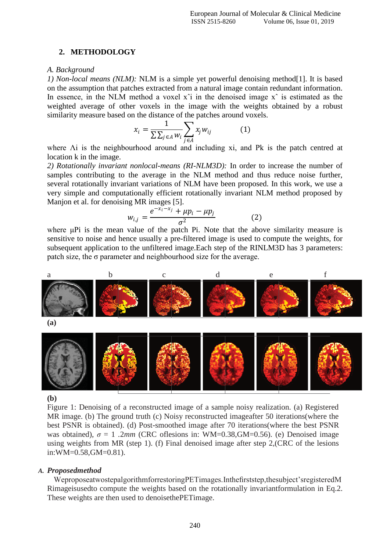#### **2. METHODOLOGY**

#### *A. Background*

*1) Non-local means (NLM):* NLM is a simple yet powerful denoising method<sup>[1]</sup>. It is based on the assumption that patches extracted from a natural image contain redundant information. In essence, in the NLM method a voxel  $x^i$  in the denoised image  $x^i$  is estimated as the weighted average of other voxels in the image with the weights obtained by a robust similarity measure based on the distance of the patches around voxels.

$$
x_i = \frac{1}{\sum \sum_{j \in A} w_i} \sum_{j \in A} x_j w_{ij}
$$
 (1)

where Λi is the neighbourhood around and including xi, and Pk is the patch centred at location k in the image.

*2) Rotationally invariant nonlocal-means (RI-NLM3D):* In order to increase the number of samples contributing to the average in the NLM method and thus reduce noise further, several rotationally invariant variations of NLM have been proposed. In this work, we use a very simple and computationally efficient rotationally invariant NLM method proposed by Manjon et al. for denoising MR images [5].

$$
w_{i,j} = \frac{e^{-x_i - x_j} + \mu p_i - \mu p_j}{\sigma^2}
$$
 (2)

where μPi is the mean value of the patch Pi. Note that the above similarity measure is sensitive to noise and hence usually a pre-filtered image is used to compute the weights, for subsequent application to the unfiltered image.Each step of the RINLM3D has 3 parameters: patch size, the  $\sigma$  parameter and neighbourhood size for the average.



#### **(b)**

Figure 1: Denoising of a reconstructed image of a sample noisy realization. (a) Registered MR image. (b) The ground truth (c) Noisy reconstructed imageafter 50 iterations(where the best PSNR is obtained). (d) Post-smoothed image after 70 iterations(where the best PSNR was obtained),  $\sigma = 1$ . 2*mm* (CRC oflesions in: WM=0.38,GM=0.56). (e) Denoised image using weights from MR (step 1). (f) Final denoised image after step 2,(CRC of the lesions in:WM=0.58,GM=0.81).

#### *A. Proposedmethod*

WeproposeatwostepalgorithmforrestoringPETimages.Inthefirststep,thesubject'sregisteredM Rimageisusedto compute the weights based on the rotationally invariantformulation in Eq.2. These weights are then used to denoisethePETimage.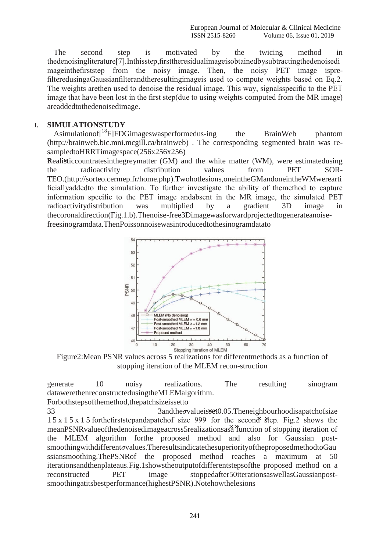The second step is motivated by the twicing method in thedenoisingliterature[7].Inthisstep,firsttheresidualimageisobtainedbysubtractingthedenoisedi mageinthefirststep from the noisy image. Then, the noisy PET image isprefilteredusingaGaussianfilterandtheresultingimageis used to compute weights based on Eq.2. The weights arethen used to denoise the residual image. This way, signalsspecific to the PET image that have been lost in the first step(due to using weights computed from the MR image) areaddedtothedenoisedimage.

### **I. SIMULATIONSTUDY**

Asimulationof<sup> $18$ </sup>FIFDGimageswasperformedus-ing the BrainWeb phantom [\(http://brainweb.bic.mni.mcgill.c](http://brainweb.bic.mni.mcgill/)a/brainweb) . The corresponding segmented brain was resampledtoHRRTimagespace(256x256x256)

**Realisticcountratesinthegreymatter (GM) and the white matter (WM), were estimatedusing** the radioactivity distribution values from PET SOR-TEO[.\(http://sorteo.cermep.fr/home.php\).T](http://sorteo.cermep.fr/home.php))wohotlesions,oneintheGMandoneintheWMwerearti ficiallyaddedto the simulation. To further investigate the ability of themethod to capture information specific to the PET image andabsent in the MR image, the simulated PET radioactivitydistribution was multiplied by a gradient 3D image in thecoronaldirection(Fig.1.b).Thenoise-free3Dimagewasforwardprojectedtogenerateanoisefreesinogramdata.ThenPoissonnoisewasintroducedtothesinogramdatato



Figure2:Mean PSNR values across 5 realizations for differentmethods as a function of stopping iteration of the MLEM recon-struction

generate 10 noisy realizations. The resulting sinogram datawerethenreconstructedusingtheMLEMalgorithm.

Forbothstepsofthemethod,thepatchsizeissetto

*××* meanPSNRvalueofthedenoisedimageacross5realizationsasa function of stopping iteration of 1 5 x 1 5 x 1 5 forthefirststepandapatchof size 999 for the second step. Fig.2 shows the 33 3andthe*σ*valueisset0.05.Theneighbourhoodisapatchofsize the MLEM algorithm forthe proposed method and also for Gaussian postsmoothingwithdifferent*σ*values.TheresultsindicatethesuperiorityoftheproposedmethodtoGau ssiansmoothing.ThePSNRof the proposed method reaches a maximum at 50 iterationsandthenplateaus.Fig.1showstheoutputofdifferentstepsofthe proposed method on a reconstructed PET image stoppedafter50iterationsaswellasGaussianpostsmoothingatitsbestperformance(highestPSNR).Notehowthelesions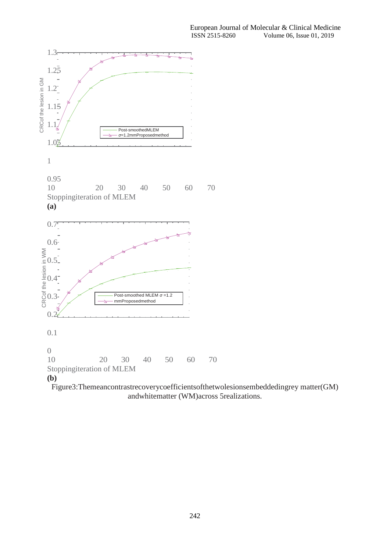

Figure3:Themeancontrastrecoverycoefficientsofthetwolesionsembeddedingrey matter(GM) andwhitematter (WM)across 5realizations.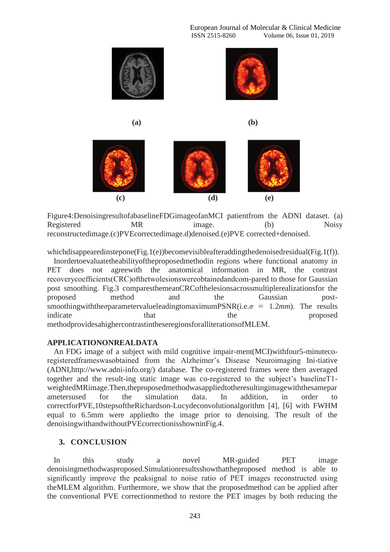

Figure4:DenoisingresultofabaselineFDGimageofanMCI patientfrom the ADNI dataset. (a) Registered MR image. (b) Noisy reconstructedimage.(c)PVEcorrectedimage.d)denoised.(e)PVE corrected+denoised.

whichdisappearedinstepone(Fig.1(e))becomevisibleafteraddingthedenoisedresidual(Fig.1(f)).

Inordertoevaluatetheabilityoftheproposedmethodin regions where functional anatomy in PET does not agreewith the anatomical information in MR, the contrast recoverycoefficients(CRC)ofthetwolesionswereobtainedandcom-pared to those for Gaussian post smoothing. Fig.3 comparesthemeanCRCofthelesionsacrossmultiplerealizationsfor the proposed method and the Gaussian postsmoothingwiththe*σ*parametervalueleadingtomaximumPSNR(i.e.  $\sigma = 1.2$ *mm*). The results indicate that the proposed methodprovidesahighercontrastintheseregionsforalliterationsofMLEM.

#### **APPLICATIONONREALDATA**

An FDG image of a subject with mild cognitive impair-ment(MCI)withfour5-minutecoregisteredframeswasobtained from the Alzheimer's Disease Neuroimaging Ini-tiative [\(ADNI,http://www.](http://www.adni-info.org/))adni[-info.org/\)](http://www.adni-info.org/)) database. The co-registered frames were then averaged together and the result-ing static image was co-registered to the subject's baselineT1 weightedMRimage.Then,theproposedmethodwasappliedtotheresultingimagewiththesamepar ametersused for the simulation data. In addition, in order to correctforPVE,10stepsoftheRichardson-Lucydeconvolutionalgorithm [4], [6] with FWHM equal to 6.5mm were appliedto the image prior to denoising. The result of the denoisingwithandwithoutPVEcorrectionisshowninFig.4.

## **3. CONCLUSION**

In this study a novel MR-guided PET image denoisingmethodwasproposed.Simulationresultsshowthattheproposed method is able to significantly improve the peaksignal to noise ratio of PET images reconstructed using theMLEM algorithm. Furthermore, we show that the proposedmethod can be applied after the conventional PVE correctionmethod to restore the PET images by both reducing the